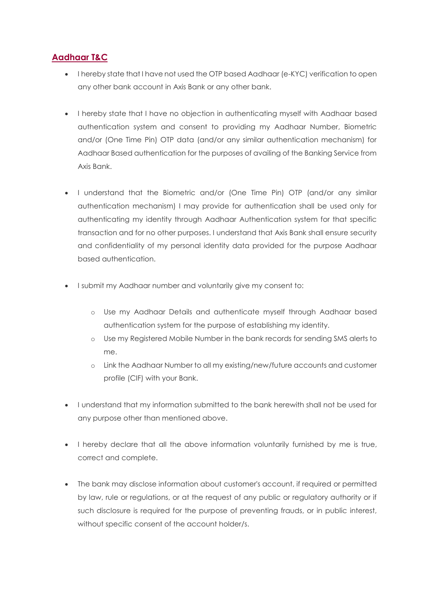## **Aadhaar T&C**

- I hereby state that I have not used the OTP based Aadhaar (e-KYC) verification to open any other bank account in Axis Bank or any other bank.
- I hereby state that I have no objection in authenticating myself with Aadhaar based authentication system and consent to providing my Aadhaar Number, Biometric and/or (One Time Pin) OTP data (and/or any similar authentication mechanism) for Aadhaar Based authentication for the purposes of availing of the Banking Service from Axis Bank.
- I understand that the Biometric and/or (One Time Pin) OTP (and/or any similar authentication mechanism) I may provide for authentication shall be used only for authenticating my identity through Aadhaar Authentication system for that specific transaction and for no other purposes. I understand that Axis Bank shall ensure security and confidentiality of my personal identity data provided for the purpose Aadhaar based authentication.
- I submit my Aadhaar number and voluntarily give my consent to:
	- o Use my Aadhaar Details and authenticate myself through Aadhaar based authentication system for the purpose of establishing my identity.
	- o Use my Registered Mobile Number in the bank records for sending SMS alerts to me.
	- o Link the Aadhaar Number to all my existing/new/future accounts and customer profile (CIF) with your Bank.
- I understand that my information submitted to the bank herewith shall not be used for any purpose other than mentioned above.
- I hereby declare that all the above information voluntarily furnished by me is true, correct and complete.
- The bank may disclose information about customer's account, if required or permitted by law, rule or regulations, or at the request of any public or regulatory authority or if such disclosure is required for the purpose of preventing frauds, or in public interest, without specific consent of the account holder/s.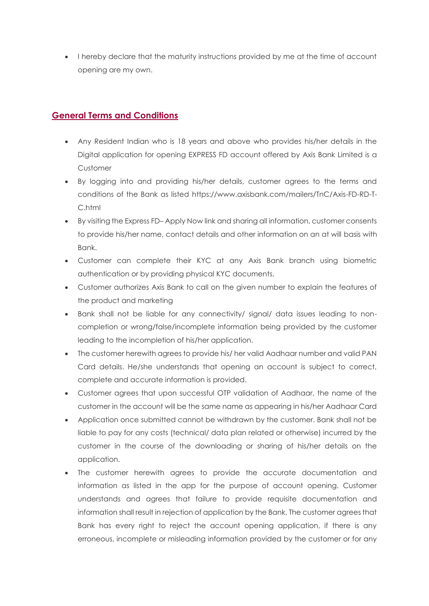I hereby declare that the maturity instructions provided by me at the time of account opening are my own.

## **General Terms and Conditions**

- Any Resident Indian who is 18 years and above who provides his/her details in the Digital application for opening EXPRESS FD account offered by Axis Bank Limited is a Customer
- By logging into and providing his/her details, customer agrees to the terms and conditions of the Bank as listed https://www.axisbank.com/mailers/TnC/Axis-FD-RD-T-C.html
- By visiting the Express FD– Apply Now link and sharing all information, customer consents to provide his/her name, contact details and other information on an at will basis with Bank.
- Customer can complete their KYC at any Axis Bank branch using biometric authentication or by providing physical KYC documents.
- Customer authorizes Axis Bank to call on the given number to explain the features of the product and marketing
- Bank shall not be liable for any connectivity/ signal/ data issues leading to noncompletion or wrong/false/incomplete information being provided by the customer leading to the incompletion of his/her application.
- The customer herewith agrees to provide his/ her valid Aadhaar number and valid PAN Card details. He/she understands that opening an account is subject to correct, complete and accurate information is provided.
- Customer agrees that upon successful OTP validation of Aadhaar, the name of the customer in the account will be the same name as appearing in his/her Aadhaar Card
- Application once submitted cannot be withdrawn by the customer. Bank shall not be liable to pay for any costs (technical/ data plan related or otherwise) incurred by the customer in the course of the downloading or sharing of his/her details on the application.
- The customer herewith agrees to provide the accurate documentation and information as listed in the app for the purpose of account opening. Customer understands and agrees that failure to provide requisite documentation and information shall result in rejection of application by the Bank. The customer agrees that Bank has every right to reject the account opening application, if there is any erroneous, incomplete or misleading information provided by the customer or for any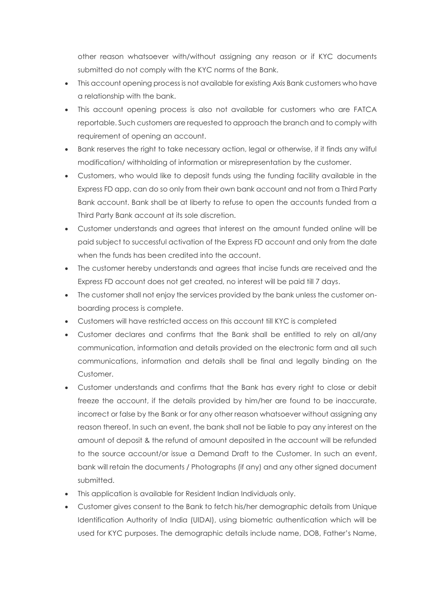other reason whatsoever with/without assigning any reason or if KYC documents submitted do not comply with the KYC norms of the Bank.

- This account opening process is not available for existing Axis Bank customers who have a relationship with the bank.
- This account opening process is also not available for customers who are FATCA reportable. Such customers are requested to approach the branch and to comply with requirement of opening an account.
- Bank reserves the right to take necessary action, legal or otherwise, if it finds any wilful modification/ withholding of information or misrepresentation by the customer.
- Customers, who would like to deposit funds using the funding facility available in the Express FD app, can do so only from their own bank account and not from a Third Party Bank account. Bank shall be at liberty to refuse to open the accounts funded from a Third Party Bank account at its sole discretion.
- Customer understands and agrees that interest on the amount funded online will be paid subject to successful activation of the Express FD account and only from the date when the funds has been credited into the account.
- The customer hereby understands and agrees that incise funds are received and the Express FD account does not get created, no interest will be paid till 7 days.
- The customer shall not enjoy the services provided by the bank unless the customer onboarding process is complete.
- Customers will have restricted access on this account till KYC is completed
- Customer declares and confirms that the Bank shall be entitled to rely on all/any communication, information and details provided on the electronic form and all such communications, information and details shall be final and legally binding on the Customer.
- Customer understands and confirms that the Bank has every right to close or debit freeze the account, if the details provided by him/her are found to be inaccurate, incorrect or false by the Bank or for any other reason whatsoever without assigning any reason thereof. In such an event, the bank shall not be liable to pay any interest on the amount of deposit & the refund of amount deposited in the account will be refunded to the source account/or issue a Demand Draft to the Customer. In such an event, bank will retain the documents / Photographs (if any) and any other signed document submitted.
- This application is available for Resident Indian Individuals only.
- Customer gives consent to the Bank to fetch his/her demographic details from Unique Identification Authority of India (UIDAI), using biometric authentication which will be used for KYC purposes. The demographic details include name, DOB, Father's Name,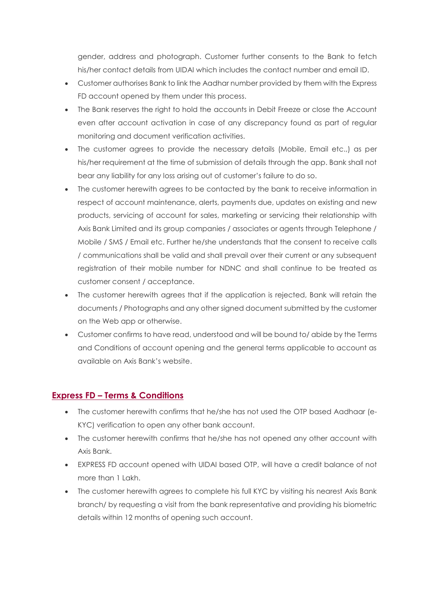gender, address and photograph. Customer further consents to the Bank to fetch his/her contact details from UIDAI which includes the contact number and email ID.

- Customer authorises Bank to link the Aadhar number provided by them with the Express FD account opened by them under this process.
- The Bank reserves the right to hold the accounts in Debit Freeze or close the Account even after account activation in case of any discrepancy found as part of regular monitoring and document verification activities.
- The customer agrees to provide the necessary details (Mobile, Email etc.,) as per his/her requirement at the time of submission of details through the app. Bank shall not bear any liability for any loss arising out of customer's failure to do so.
- The customer herewith agrees to be contacted by the bank to receive information in respect of account maintenance, alerts, payments due, updates on existing and new products, servicing of account for sales, marketing or servicing their relationship with Axis Bank Limited and its group companies / associates or agents through Telephone / Mobile / SMS / Email etc. Further he/she understands that the consent to receive calls / communications shall be valid and shall prevail over their current or any subsequent registration of their mobile number for NDNC and shall continue to be treated as customer consent / acceptance.
- The customer herewith agrees that if the application is rejected, Bank will retain the documents / Photographs and any other signed document submitted by the customer on the Web app or otherwise.
- Customer confirms to have read, understood and will be bound to/ abide by the Terms and Conditions of account opening and the general terms applicable to account as available on Axis Bank's website.

#### **Express FD – Terms & Conditions**

- The customer herewith confirms that he/she has not used the OTP based Aadhaar (e-KYC) verification to open any other bank account.
- The customer herewith confirms that he/she has not opened any other account with Axis Bank.
- EXPRESS FD account opened with UIDAI based OTP, will have a credit balance of not more than 1 Lakh.
- The customer herewith agrees to complete his full KYC by visiting his nearest Axis Bank branch/ by requesting a visit from the bank representative and providing his biometric details within 12 months of opening such account.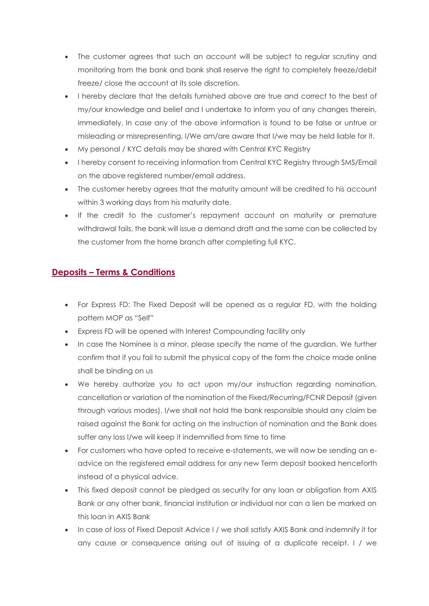- The customer agrees that such an account will be subject to regular scrutiny and monitoring from the bank and bank shall reserve the right to completely freeze/debit freeze/ close the account at its sole discretion.
- I hereby declare that the details furnished above are true and correct to the best of my/our knowledge and belief and I undertake to inform you of any changes therein, immediately. In case any of the above information is found to be false or untrue or misleading or misrepresenting, I/We am/are aware that I/we may be held liable for it.
- My personal / KYC details may be shared with Central KYC Registry
- I hereby consent to receiving information from Central KYC Registry through SMS/Email on the above registered number/email address.
- The customer hereby agrees that the maturity amount will be credited to his account within 3 working days from his maturity date.
- If the credit to the customer's repayment account on maturity or premature withdrawal fails, the bank will issue a demand draft and the same can be collected by the customer from the home branch after completing full KYC.

# **Deposits – Terms & Conditions**

- For Express FD: The Fixed Deposit will be opened as a regular FD, with the holding pattern MOP as "Self"
- Express FD will be opened with Interest Compounding facility only
- In case the Nominee is a minor, please specify the name of the guardian. We further confirm that if you fail to submit the physical copy of the form the choice made online shall be binding on us
- We hereby authorize you to act upon my/our instruction regarding nomination, cancellation or variation of the nomination of the Fixed/Recurring/FCNR Deposit (given through various modes). I/we shall not hold the bank responsible should any claim be raised against the Bank for acting on the instruction of nomination and the Bank does suffer any loss I/we will keep it indemnified from time to time
- For customers who have opted to receive e-statements, we will now be sending an eadvice on the registered email address for any new Term deposit booked henceforth instead of a physical advice.
- This fixed deposit cannot be pledged as security for any loan or obligation from AXIS Bank or any other bank, financial institution or individual nor can a lien be marked on this loan in AXIS Bank
- In case of loss of Fixed Deposit Advice I / we shall satisfy AXIS Bank and indemnify it for any cause or consequence arising out of issuing of a duplicate receipt. I / we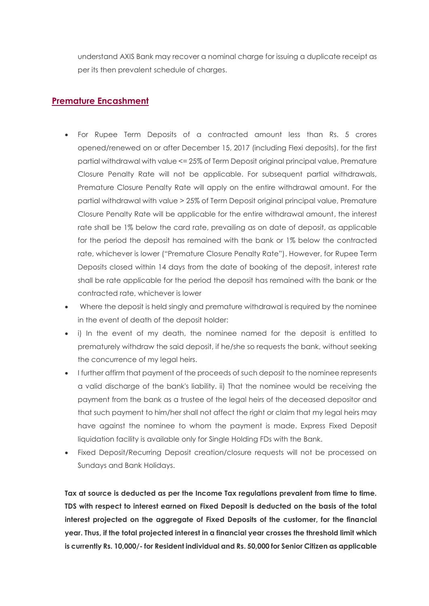understand AXIS Bank may recover a nominal charge for issuing a duplicate receipt as per its then prevalent schedule of charges.

### **Premature Encashment**

- For Rupee Term Deposits of a contracted amount less than Rs. 5 crores opened/renewed on or after December 15, 2017 (including Flexi deposits), for the first partial withdrawal with value <= 25% of Term Deposit original principal value, Premature Closure Penalty Rate will not be applicable. For subsequent partial withdrawals, Premature Closure Penalty Rate will apply on the entire withdrawal amount. For the partial withdrawal with value > 25% of Term Deposit original principal value, Premature Closure Penalty Rate will be applicable for the entire withdrawal amount, the interest rate shall be 1% below the card rate, prevailing as on date of deposit, as applicable for the period the deposit has remained with the bank or 1% below the contracted rate, whichever is lower ("Premature Closure Penalty Rate"). However, for Rupee Term Deposits closed within 14 days from the date of booking of the deposit, interest rate shall be rate applicable for the period the deposit has remained with the bank or the contracted rate, whichever is lower
- Where the deposit is held singly and premature withdrawal is required by the nominee in the event of death of the deposit holder:
- i) In the event of my death, the nominee named for the deposit is entitled to prematurely withdraw the said deposit, if he/she so requests the bank, without seeking the concurrence of my legal heirs.
- I further affirm that payment of the proceeds of such deposit to the nominee represents a valid discharge of the bank's liability. ii) That the nominee would be receiving the payment from the bank as a trustee of the legal heirs of the deceased depositor and that such payment to him/her shall not affect the right or claim that my legal heirs may have against the nominee to whom the payment is made. Express Fixed Deposit liquidation facility is available only for Single Holding FDs with the Bank.
- Fixed Deposit/Recurring Deposit creation/closure requests will not be processed on Sundays and Bank Holidays.

**Tax at source is deducted as per the Income Tax regulations prevalent from time to time. TDS with respect to interest earned on Fixed Deposit is deducted on the basis of the total interest projected on the aggregate of Fixed Deposits of the customer, for the financial year. Thus, if the total projected interest in a financial year crosses the threshold limit which is currently Rs. 10,000/- for Resident individual and Rs. 50,000 for Senior Citizen as applicable**